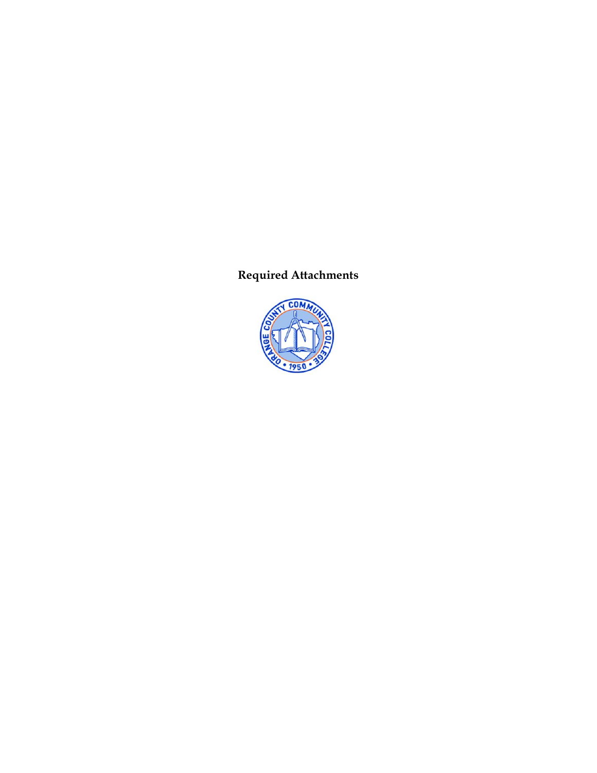# **Required Attachments**

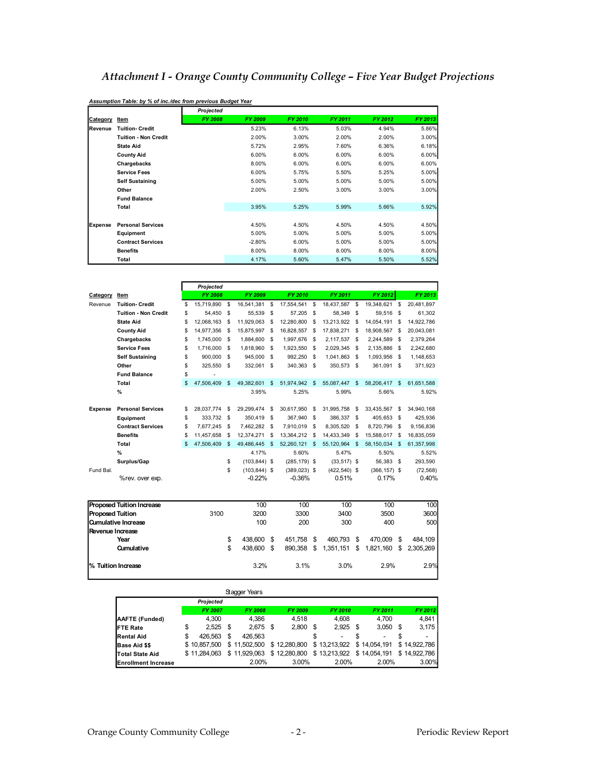## *Attachment I Orange County Community College – Five Year Budget Projections*

|                |                             | Projected |          |         |         |         |         |
|----------------|-----------------------------|-----------|----------|---------|---------|---------|---------|
| Category       | Item                        | FY 2008   | FY 2009  | FY 2010 | FY 2011 | FY 2012 | FY 2013 |
| Revenue        | <b>Tuition- Credit</b>      |           | 5.23%    | 6.13%   | 5.03%   | 4.94%   | 5.86%   |
|                | <b>Tuition - Non Credit</b> |           | 2.00%    | 3.00%   | 2.00%   | 2.00%   | 3.00%   |
|                | <b>State Aid</b>            |           | 5.72%    | 2.95%   | 7.60%   | 6.36%   | 6.18%   |
|                | <b>County Aid</b>           |           | 6.00%    | 6.00%   | 6.00%   | 6.00%   | 6.00%   |
|                | Chargebacks                 |           | 8.00%    | 6.00%   | 6.00%   | 6.00%   | 6.00%   |
|                | <b>Service Fees</b>         |           | 6.00%    | 5.75%   | 5.50%   | 5.25%   | 5.00%   |
|                | <b>Self Sustaining</b>      |           | 5.00%    | 5.00%   | 5.00%   | 5.00%   | 5.00%   |
|                | Other                       |           | 2.00%    | 2.50%   | 3.00%   | 3.00%   | 3.00%   |
|                | <b>Fund Balance</b>         |           |          |         |         |         |         |
|                | Total                       |           | 3.95%    | 5.25%   | 5.99%   | 5.66%   | 5.92%   |
| <b>Expense</b> | <b>Personal Services</b>    |           | 4.50%    | 4.50%   | 4.50%   | 4.50%   | 4.50%   |
|                | Equipment                   |           | 5.00%    | 5.00%   | 5.00%   | 5.00%   | 5.00%   |
|                | <b>Contract Services</b>    |           | $-2.80%$ | 6.00%   | 5.00%   | 5.00%   | 5.00%   |
|                | <b>Benefits</b>             |           | 8.00%    | 8.00%   | 8.00%   | 8.00%   | 8.00%   |
|                | Total                       |           | 4.17%    | 5.60%   | 5.47%   | 5.50%   | 5.52%   |

|  | Assumption Table: by % of inc./dec from previous Budget Year |
|--|--------------------------------------------------------------|
|  |                                                              |

|                |                             |     | Projected  |              |                |           |                 |    |                 |      |                 |          |            |
|----------------|-----------------------------|-----|------------|--------------|----------------|-----------|-----------------|----|-----------------|------|-----------------|----------|------------|
| Category       | Item                        |     | FY 2008    |              | FY 2009        |           | FY 2010         |    | FY 2011         |      | FY 2012         |          | FY 2013    |
| Revenue        | <b>Tuition- Credit</b>      | \$  | 15.719.890 | s            | 16.541.381     | - \$      | 17.554.541      | S  | 18.437.587      | S    | 19.348.621      | S        | 20.481.897 |
|                | <b>Tuition - Non Credit</b> | \$  | 54.450     | -S           | 55.539         | - \$      | 57.205          | s  | 58.349          | -S   | 59.516          | -S       | 61.302     |
|                | <b>State Aid</b>            | \$  | 12.068.163 | S            | 11.929.063     | -S        | 12.280.800      | s  | 13.213.922      | - \$ | 14.054.191      | S        | 14.922.786 |
|                | <b>County Aid</b>           | \$  | 14,977,356 | S            | 15,875,997 \$  |           | 16.828.557      | S  | 17.838.271      | - \$ | 18.908.567      | -S       | 20,043,081 |
|                | Chargebacks                 | \$  | 1,745,000  | S            | 1,884,600      | - \$      | 1,997,676       | S  | 2,117,537 \$    |      | 2,244,589       | -S       | 2,379,264  |
|                | <b>Service Fees</b>         | \$  | 1.716.000  | -S           | 1.818.960      | <b>\$</b> | 1.923.550       | -S | 2.029.345       | - \$ | 2.135.886       | -S       | 2.242.680  |
|                | <b>Self Sustaining</b>      | \$  | 900.000    | S            | 945.000        | - \$      | 992.250         | S  | 1.041.863 \$    |      | 1.093.956       | -S       | 1,148,653  |
|                | Other                       | \$  | 325.550    | -S           | 332.061        | - \$      | 340.363 \$      |    | 350.573 \$      |      | 361.091 \$      |          | 371.923    |
|                | <b>Fund Balance</b>         | \$  | ٠          |              |                |           |                 |    |                 |      |                 |          |            |
|                | Total                       | \$  | 47.506.409 | $\mathbf{s}$ | 49,382,601 \$  |           | 51,974,942 \$   |    | 55,087,447 \$   |      | 58,206,417 \$   |          | 61.651.588 |
|                | %                           |     |            |              | 3.95%          |           | 5.25%           |    | 5.99%           |      | 5.66%           |          | 5.92%      |
| <b>Expense</b> | <b>Personal Services</b>    | \$. | 28.037.774 | S            | 29.299.474     | - \$      | 30.617.950      | s  | 31.995.758      | - \$ | 33,435,567      | <b>s</b> | 34.940.168 |
|                | Equipment                   | \$  | 333,732 \$ |              | 350,419 \$     |           | 367.940 \$      |    | 386,337 \$      |      | 405,653 \$      |          | 425,936    |
|                | <b>Contract Services</b>    | \$  | 7,677,245  | S            | 7,462,282 \$   |           | 7.910.019       | S  | 8.305.520 \$    |      | 8.720.796       | -S       | 9,156,836  |
|                | <b>Benefits</b>             | \$  | 11.457.658 | S            | 12,374,271     | - \$      | 13.364.212      | S  | 14.433.349      | - \$ | 15,588,017      | -S       | 16.835.059 |
|                | Total                       | \$. | 47.506.409 | \$.          | 49,486,445 \$  |           | 52.260.121 \$   |    | 55,120,964 \$   |      | 58,150,034 \$   |          | 61.357.998 |
|                | %                           |     |            |              | 4.17%          |           | 5.60%           |    | 5.47%           |      | 5.50%           |          | 5.52%      |
|                | Surplus/Gap                 |     |            | S            | $(103.844)$ \$ |           | $(285, 179)$ \$ |    | $(33,517)$ \$   |      | 56.383 \$       |          | 293.590    |
| Fund Bal.      |                             |     |            | S.           | $(103.844)$ \$ |           | $(389, 023)$ \$ |    | $(422, 540)$ \$ |      | $(366, 157)$ \$ |          | (72, 568)  |
|                | %rev. over exp.             |     |            |              | $-0.22%$       |           | $-0.36%$        |    | 0.51%           |      | 0.17%           |          | 0.40%      |

| <b>Proposed Tuition Increase</b> |      | 100           |   | 100     |     | 100        | 100     |      | 100                    |
|----------------------------------|------|---------------|---|---------|-----|------------|---------|------|------------------------|
| <b>Proposed Tuition</b>          | 3100 | 3200          |   | 3300    |     | 3400       | 3500    |      | 3600                   |
| <b>Qumulative Increase</b>       |      | 100           |   | 200     |     | 300        | 400     |      | 500                    |
| Revenue Increase                 |      |               |   |         |     |            |         |      |                        |
| Year                             |      | \$<br>438,600 | S | 451.758 | -S  | 460.793 \$ | 470.009 | - \$ | 484.109                |
| <b>Qumulative</b>                |      | \$<br>438,600 | S | 890.358 | \$. | 1,351,151  | \$      |      | 1,821,160 \$ 2,305,269 |
| % Tuition Increase               |      | 3.2%          |   | 3.1%    |     | 3.0%       | 2.9%    |      | 2.9%                   |

|                            |               |      | Stagger Years |      |              |      |              |                          |      |                          |
|----------------------------|---------------|------|---------------|------|--------------|------|--------------|--------------------------|------|--------------------------|
|                            | Projected     |      |               |      |              |      |              |                          |      |                          |
|                            | FY 2007       |      | FY 2008       |      | FY 2009      |      | FY 2010      | FY 2011                  |      | FY 2012                  |
| AAFTE (Funded)             | 4.300         |      | 4.386         |      | 4.518        |      | 4.608        | 4.700                    |      | 4.841                    |
| <b>IFTE Rate</b>           | \$<br>2.525   | - \$ | 2.675         | - \$ | 2,800        | - \$ | $2.925$ \$   | 3,050                    | - \$ | 3,175                    |
| <b>Rental Aid</b>          | \$<br>426.563 | S    | 426.563       |      |              |      | -            | $\overline{\phantom{0}}$ | S    | $\overline{\phantom{a}}$ |
| <b>Base Aid \$\$</b>       | \$10.857,500  |      | \$11,502,500  |      | \$12,280,800 |      | \$13,213,922 | \$14,054,191             |      | \$14,922,786             |
| <b>Total State Aid</b>     | \$11.284.063  |      | \$11,929,063  |      | \$12,280,800 |      | \$13,213,922 | \$14,054,191             |      | \$14,922,786             |
| <b>Enrollment Increase</b> |               |      | 2.00%         |      | 3.00%        |      | 2.00%        | 2.00%                    |      | 3.00%                    |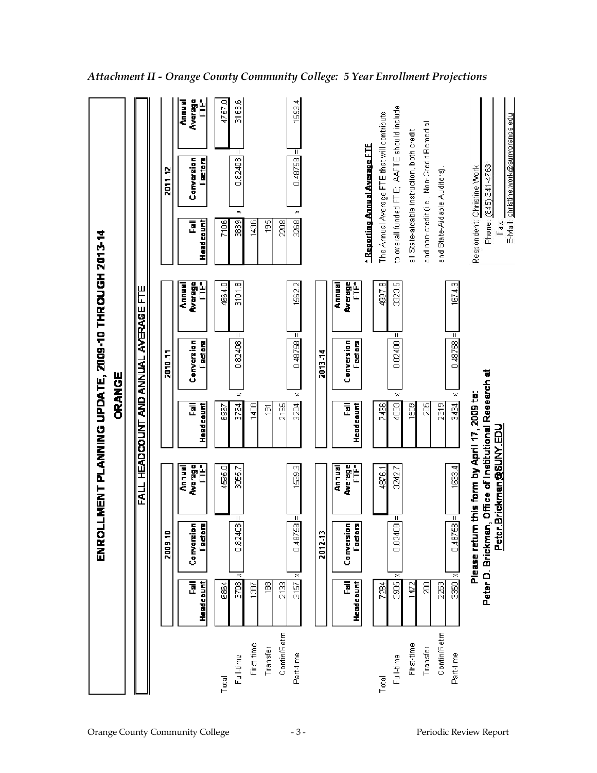|             |                | <b>ENRO</b>                                                                                                                |                                  | ORANGE                      | LLMENT PLANNING UPDATE, 2009-10 THROUGH 2013-14 |                           |                        |                                             |                        |
|-------------|----------------|----------------------------------------------------------------------------------------------------------------------------|----------------------------------|-----------------------------|-------------------------------------------------|---------------------------|------------------------|---------------------------------------------|------------------------|
|             |                |                                                                                                                            | <b>FALL</b>                      | <b>HEADCOUNT AND ANNUAL</b> | AVERAGE                                         | Ë                         |                        |                                             |                        |
|             |                | 7009.11                                                                                                                    |                                  |                             | <b>7010-11</b>                                  |                           |                        | 2011-12                                     |                        |
|             | 副<br>Headcount | Conversion<br>g<br>Facto                                                                                                   | Average<br>FTE*<br>Annual        | Headcount<br>ᇛ              | Conversion<br>Factors                           | Average<br>Ë<br>Annual    | <u>Head count</u><br>Ē | Conversion<br>Factors                       | Average<br>È<br>Annual |
| Total       | 684            |                                                                                                                            | 4595.0                           | 6967                        |                                                 | 4664.0                    | 7106                   |                                             | Q<br>4757.             |
| Full-time   | 3708           | Ш.<br>g<br>0.824<br>×                                                                                                      | 3055.7                           | $\asymp$<br>3764            | $\mathbf{H}$<br>0.82408                         | 3101.8                    | 383                    | Ш<br>0.82408<br>$\asymp$                    | 3163.6                 |
| First-time  | $\frac{38}{2}$ |                                                                                                                            |                                  | 1408                        |                                                 |                           | 1436                   |                                             |                        |
| Transfer    | 8              |                                                                                                                            |                                  | ίēι                         |                                                 |                           | 195                    |                                             |                        |
| Contin/Retm | 2133           |                                                                                                                            |                                  | 2165                        |                                                 |                           | 2208                   |                                             |                        |
| Part-time   | 3157           | Ш<br>98<br>0.487<br>×                                                                                                      | 1539.3                           | $\asymp$<br>3204            | П<br>0.48758                                    | 1562.2                    | 3268                   | π<br>0.48758<br>$\asymp$                    | 1593.4                 |
|             |                | 2012-13                                                                                                                    |                                  |                             | 2013-14                                         |                           |                        |                                             |                        |
|             | 同<br>Headcount | Ţ<br>Conversion<br>ta<br>E                                                                                                 | <b>Average</b><br>FTE*<br>Annual | ᇛ<br>Headcount              | Conversion<br>Factors                           | Average<br>FTE*<br>Annual |                        |                                             |                        |
|             |                |                                                                                                                            |                                  |                             |                                                 |                           |                        | - Reporting Annual Average FTE              |                        |
| Total       | 7284           |                                                                                                                            | 4876.1                           | 7466                        |                                                 | 4997.8                    |                        | The Annual Average FTE that will contribute |                        |
| Full-time   | 3935           | $\mathsf{H}% _{\mathsf{H}}^{\ast}(\mathcal{M}_{0})\cong\mathsf{H}_{\mathsf{H}}^{\ast}(\mathcal{M}_{0})$<br>g<br>0.824<br>× | 3242.7                           | $\asymp$<br>4033            | Ш<br>0.82408                                    | 3323.5                    |                        | to overall funded FTE; AAFTE should include |                        |
| First-time  | 1472           |                                                                                                                            |                                  | 1509                        |                                                 |                           |                        | all State-aidable instruction, both credit  |                        |
| Transfer    | g              |                                                                                                                            |                                  | ă                           |                                                 |                           |                        | and non-credit (i.e., Non-Credit Remedial   |                        |
| Contin/Retm | 2263           |                                                                                                                            |                                  | 2319                        |                                                 |                           |                        | and State-Aidable Auditors)                 |                        |
| Part-time   | $3350 \times$  | $\overline{\mathbb{I}}$<br>8<br>0.487                                                                                      | 1633.4                           | $\asymp$<br>3434            | $0.48758 =$                                     | 1674.3                    |                        |                                             |                        |
|             |                | Please return this form by April 17, 2009 to:                                                                              |                                  |                             |                                                 |                           |                        | Respondent: Christine Work                  |                        |
|             |                | Peter D. Brickman, Office of Institutional Research at                                                                     |                                  |                             |                                                 |                           |                        | Phone: (845) 341-4763                       |                        |
|             |                |                                                                                                                            | Peter.Brickman@SUNY.EDL          |                             |                                                 |                           | E-Mail:<br>Fax         | christine.work@sunyorange.edu               |                        |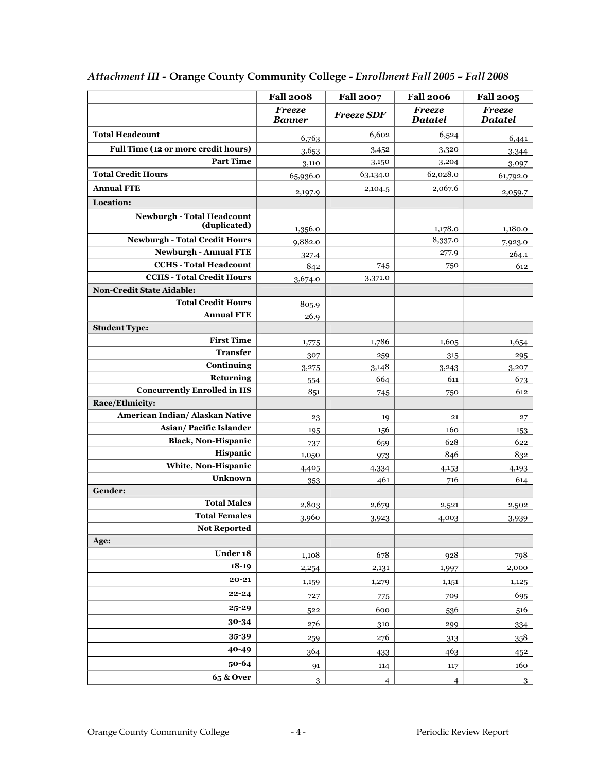|                                                   | <b>Fall 2008</b>               | <b>Fall 2007</b>  | <b>Fall 2006</b>                | <b>Fall 2005</b>                |
|---------------------------------------------------|--------------------------------|-------------------|---------------------------------|---------------------------------|
|                                                   | <b>Freeze</b><br><b>Banner</b> | <b>Freeze SDF</b> | <b>Freeze</b><br><b>Datatel</b> | <b>Freeze</b><br><b>Datatel</b> |
| <b>Total Headcount</b>                            | 6,763                          | 6,602             | 6,524                           | 6,441                           |
| Full Time (12 or more credit hours)               | 3,653                          | 3,452             | 3,320                           | 3,344                           |
| <b>Part Time</b>                                  | 3,110                          | 3,150             | 3,204                           | 3,097                           |
| <b>Total Credit Hours</b>                         | 65,936.0                       | 63,134.0          | 62,028.0                        | 61,792.0                        |
| <b>Annual FTE</b>                                 | 2,197.9                        | 2,104.5           | 2,067.6                         | 2,059.7                         |
| Location:                                         |                                |                   |                                 |                                 |
| <b>Newburgh - Total Headcount</b><br>(duplicated) |                                |                   |                                 |                                 |
|                                                   | 1,356.0                        |                   | 1,178.0                         | 1,180.0                         |
| <b>Newburgh - Total Credit Hours</b>              | 9,882.0                        |                   | 8,337.0                         | 7,923.0                         |
| <b>Newburgh - Annual FTE</b>                      | 327.4                          |                   | 277.9                           | 264.1                           |
| <b>CCHS</b> - Total Headcount                     | 842                            | 745               | 750                             | 612                             |
| <b>CCHS - Total Credit Hours</b>                  | 3,674.0                        | 3,371.0           |                                 |                                 |
| <b>Non-Credit State Aidable:</b>                  |                                |                   |                                 |                                 |
| <b>Total Credit Hours</b>                         | 805.9                          |                   |                                 |                                 |
| <b>Annual FTE</b>                                 | 26.9                           |                   |                                 |                                 |
| <b>Student Type:</b>                              |                                |                   |                                 |                                 |
| <b>First Time</b>                                 | 1,775                          | 1,786             | 1,605                           | 1,654                           |
| <b>Transfer</b>                                   | 307                            | 259               | 315                             | 295                             |
| Continuing                                        | 3,275                          | 3,148             | 3,243                           | 3,207                           |
| Returning                                         | 554                            | 664               | 611                             | 673                             |
| <b>Concurrently Enrolled in HS</b>                | 851                            | 745               | 750                             | 612                             |
| Race/Ethnicity:                                   |                                |                   |                                 |                                 |
| American Indian/ Alaskan Native                   | 23                             | 19                | 21                              | 27                              |
| Asian/Pacific Islander                            | 195                            | 156               | 160                             | 153                             |
| <b>Black, Non-Hispanic</b>                        | 737                            | 659               | 628                             | 622                             |
| Hispanic                                          | 1,050                          | 973               | 846                             | 832                             |
| White, Non-Hispanic                               | 4,405                          | 4,334             | 4,153                           | 4,193                           |
| <b>Unknown</b>                                    | 353                            | 461               | 716                             | 614                             |
| Gender:                                           |                                |                   |                                 |                                 |
| <b>Total Males</b>                                | 2,803                          | 2,679             | 2,521                           | 2,502                           |
| <b>Total Females</b>                              | 3,960                          | 3,923             | 4,003                           | 3,939                           |
| <b>Not Reported</b>                               |                                |                   |                                 |                                 |
| Age:                                              |                                |                   |                                 |                                 |
| Under 18                                          | 1,108                          | 678               | 928                             | 798                             |
| $18-19$                                           | 2,254                          | 2,131             | 1,997                           | 2,000                           |
| $20 - 21$                                         | 1,159                          | 1,279             | 1,151                           | 1,125                           |
| $22 - 24$                                         | 727                            | 775               | 709                             | 695                             |
| $25 - 29$                                         | 522                            | 600               | 536                             | 516                             |
| 30-34                                             | 276                            | 310               | 299                             | 334                             |
| 35-39                                             | 259                            | 276               | 313                             | 358                             |
| 40-49                                             | 364                            | 433               | 463                             | 452                             |
| 50-64                                             | 91                             | 114               | 117                             | 160                             |
| <b>65 &amp; Over</b>                              |                                |                   |                                 |                                 |
|                                                   | $\overline{3}$                 | $\overline{4}$    | $\overline{4}$                  | $\overline{3}$                  |

## *Attachment III* **Orange County Community College**  *Enrollment Fall 2005 – Fall 2008*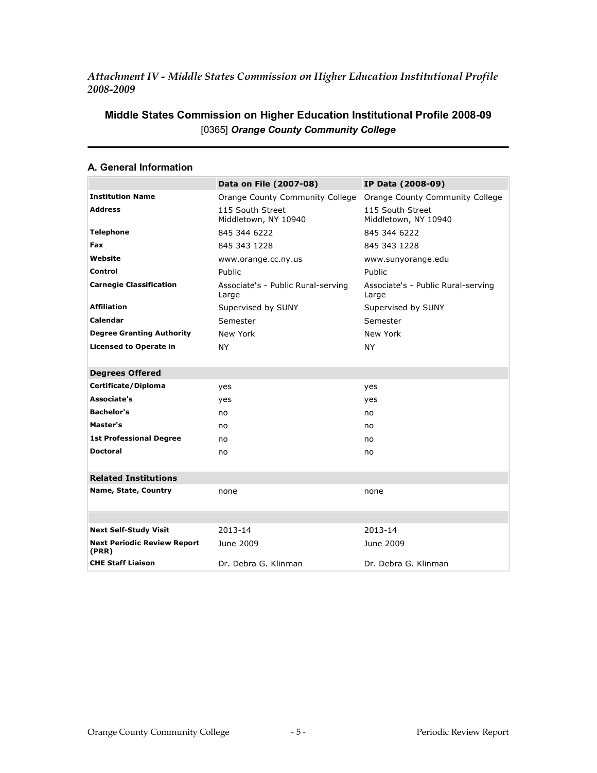## *Attachment IV Middle States Commission on Higher Education Institutional Profile 20082009*

| A. General Information                      |                                             |                                             |
|---------------------------------------------|---------------------------------------------|---------------------------------------------|
|                                             | Data on File (2007-08)                      | IP Data (2008-09)                           |
| <b>Institution Name</b>                     | Orange County Community College             | Orange County Community College             |
| <b>Address</b>                              | 115 South Street<br>Middletown, NY 10940    | 115 South Street<br>Middletown, NY 10940    |
| <b>Telephone</b>                            | 845 344 6222                                | 845 344 6222                                |
| Fax                                         | 845 343 1228                                | 845 343 1228                                |
| Website                                     | www.orange.cc.ny.us                         | www.sunyorange.edu                          |
| Control                                     | Public                                      | Public                                      |
| <b>Carnegie Classification</b>              | Associate's - Public Rural-serving<br>Large | Associate's - Public Rural-serving<br>Large |
| <b>Affiliation</b>                          | Supervised by SUNY                          | Supervised by SUNY                          |
| Calendar                                    | Semester                                    | Semester                                    |
| <b>Degree Granting Authority</b>            | New York                                    | New York                                    |
| <b>Licensed to Operate in</b>               | NY.                                         | <b>NY</b>                                   |
| <b>Degrees Offered</b>                      |                                             |                                             |
| Certificate/Diploma                         | yes                                         | yes                                         |
| Associate's                                 | yes                                         | yes                                         |
| <b>Bachelor's</b>                           | no                                          | no                                          |
| Master's                                    | no                                          | no                                          |
| <b>1st Professional Degree</b>              | no                                          | no                                          |
| <b>Doctoral</b>                             | no                                          | no                                          |
| <b>Related Institutions</b>                 |                                             |                                             |
| Name, State, Country                        | none                                        | none                                        |
|                                             |                                             |                                             |
| <b>Next Self-Study Visit</b>                | 2013-14                                     | 2013-14                                     |
| <b>Next Periodic Review Report</b><br>(PRR) | June 2009                                   | June 2009                                   |
| <b>CHE Staff Liaison</b>                    | Dr. Debra G. Klinman                        | Dr. Debra G. Klinman                        |

## **Middle States Commission on Higher Education Institutional Profile 2008-09** [0365] *Orange County Community College*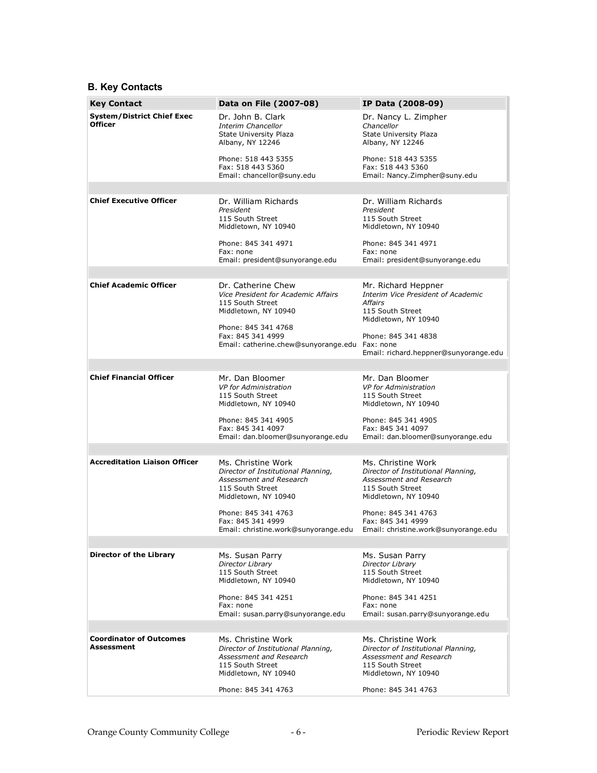## **B. Key Contacts**

| <b>Key Contact</b>                                  | Data on File (2007-08)                                                                                                           | IP Data (2008-09)                                                                                                                |
|-----------------------------------------------------|----------------------------------------------------------------------------------------------------------------------------------|----------------------------------------------------------------------------------------------------------------------------------|
| <b>System/District Chief Exec</b><br><b>Officer</b> | Dr. John B. Clark<br>Interim Chancellor<br><b>State University Plaza</b><br>Albany, NY 12246                                     | Dr. Nancy L. Zimpher<br>Chancellor<br><b>State University Plaza</b><br>Albany, NY 12246                                          |
|                                                     | Phone: 518 443 5355<br>Fax: 518 443 5360<br>Email: chancellor@suny.edu                                                           | Phone: 518 443 5355<br>Fax: 518 443 5360<br>Email: Nancy.Zimpher@suny.edu                                                        |
|                                                     |                                                                                                                                  |                                                                                                                                  |
| <b>Chief Executive Officer</b>                      | Dr. William Richards<br>President<br>115 South Street<br>Middletown, NY 10940                                                    | Dr. William Richards<br>President<br>115 South Street<br>Middletown, NY 10940                                                    |
|                                                     | Phone: 845 341 4971<br>Fax: none<br>Email: president@sunyorange.edu                                                              | Phone: 845 341 4971<br>Fax: none<br>Email: president@sunyorange.edu                                                              |
|                                                     |                                                                                                                                  |                                                                                                                                  |
| <b>Chief Academic Officer</b>                       | Dr. Catherine Chew<br>Vice President for Academic Affairs<br>115 South Street<br>Middletown, NY 10940                            | Mr. Richard Heppner<br>Interim Vice President of Academic<br><b>Affairs</b><br>115 South Street<br>Middletown, NY 10940          |
|                                                     | Phone: 845 341 4768<br>Fax: 845 341 4999<br>Email: catherine.chew@sunyorange.edu Fax: none                                       | Phone: 845 341 4838<br>Email: richard.heppner@sunyorange.edu                                                                     |
|                                                     |                                                                                                                                  |                                                                                                                                  |
| <b>Chief Financial Officer</b>                      | Mr. Dan Bloomer<br><b>VP</b> for Administration<br>115 South Street<br>Middletown, NY 10940                                      | Mr. Dan Bloomer<br>VP for Administration<br>115 South Street<br>Middletown, NY 10940                                             |
|                                                     | Phone: 845 341 4905<br>Fax: 845 341 4097<br>Email: dan.bloomer@sunyorange.edu                                                    | Phone: 845 341 4905<br>Fax: 845 341 4097<br>Email: dan.bloomer@sunyorange.edu                                                    |
|                                                     |                                                                                                                                  |                                                                                                                                  |
| <b>Accreditation Liaison Officer</b>                | Ms. Christine Work<br>Director of Institutional Planning,<br>Assessment and Research<br>115 South Street<br>Middletown, NY 10940 | Ms. Christine Work<br>Director of Institutional Planning,<br>Assessment and Research<br>115 South Street<br>Middletown, NY 10940 |
|                                                     | Phone: 845 341 4763<br>Fax: 845 341 4999<br>Email: christine.work@sunyorange.edu                                                 | Phone: 845 341 4763<br>Fax: 845 341 4999<br>Email: christine.work@sunyorange.edu                                                 |
|                                                     |                                                                                                                                  |                                                                                                                                  |
| <b>Director of the Library</b>                      | Ms. Susan Parry<br>Director Library<br>115 South Street<br>Middletown, NY 10940                                                  | Ms. Susan Parry<br><b>Director Library</b><br>115 South Street<br>Middletown, NY 10940                                           |
|                                                     | Phone: 845 341 4251<br>Fax: none<br>Email: susan.parry@sunyorange.edu                                                            | Phone: 845 341 4251<br>Fax: none<br>Email: susan.parry@sunyorange.edu                                                            |
|                                                     |                                                                                                                                  |                                                                                                                                  |
| <b>Coordinator of Outcomes</b><br><b>Assessment</b> | Ms. Christine Work<br>Director of Institutional Planning,<br>Assessment and Research<br>115 South Street<br>Middletown, NY 10940 | Ms. Christine Work<br>Director of Institutional Planning,<br>Assessment and Research<br>115 South Street<br>Middletown, NY 10940 |
|                                                     | Phone: 845 341 4763                                                                                                              | Phone: 845 341 4763                                                                                                              |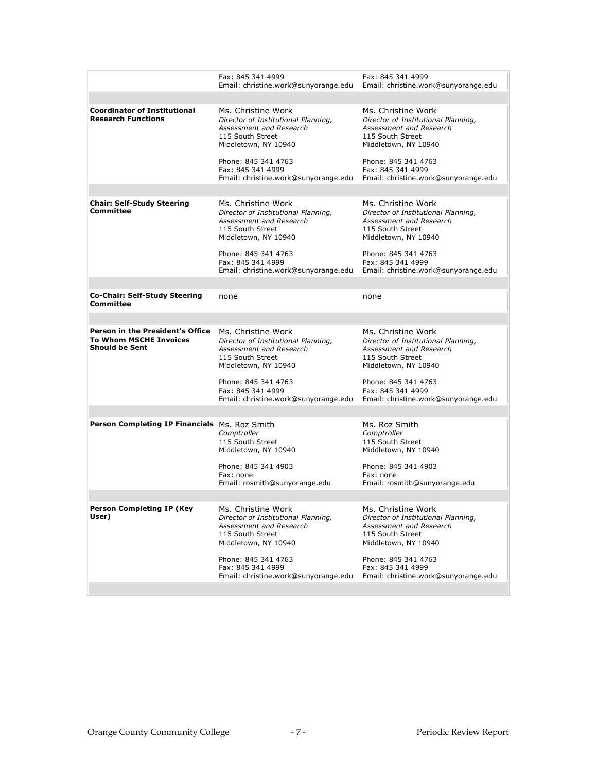|                                                                                            | Fax: 845 341 4999<br>Email: christine.work@sunyorange.edu Email: christine.work@sunyorange.edu                                   | Fax: 845 341 4999                                                                                                                             |
|--------------------------------------------------------------------------------------------|----------------------------------------------------------------------------------------------------------------------------------|-----------------------------------------------------------------------------------------------------------------------------------------------|
|                                                                                            |                                                                                                                                  |                                                                                                                                               |
| <b>Coordinator of Institutional</b><br><b>Research Functions</b>                           | Ms. Christine Work<br>Director of Institutional Planning,<br>Assessment and Research<br>115 South Street<br>Middletown, NY 10940 | Ms. Christine Work<br>Director of Institutional Planning,<br>Assessment and Research<br>115 South Street<br>Middletown, NY 10940              |
|                                                                                            | Phone: 845 341 4763<br>Fax: 845 341 4999<br>Email: christine.work@sunyorange.edu                                                 | Phone: 845 341 4763<br>Fax: 845 341 4999<br>Email: christine.work@sunyorange.edu                                                              |
|                                                                                            |                                                                                                                                  |                                                                                                                                               |
| <b>Chair: Self-Study Steering</b><br><b>Committee</b>                                      | Ms. Christine Work<br>Director of Institutional Planning,<br>Assessment and Research<br>115 South Street<br>Middletown, NY 10940 | Ms. Christine Work<br>Director of Institutional Planning,<br>Assessment and Research<br>115 South Street<br>Middletown, NY 10940              |
|                                                                                            | Phone: 845 341 4763<br>Fax: 845 341 4999<br>Email: christine.work@sunyorange.edu                                                 | Phone: 845 341 4763<br>Fax: 845 341 4999<br>Email: christine.work@sunyorange.edu                                                              |
|                                                                                            |                                                                                                                                  |                                                                                                                                               |
| <b>Co-Chair: Self-Study Steering</b><br>Committee                                          | none                                                                                                                             | none                                                                                                                                          |
|                                                                                            |                                                                                                                                  |                                                                                                                                               |
| Person in the President's Office<br><b>To Whom MSCHE Invoices</b><br><b>Should be Sent</b> | Ms. Christine Work<br>Director of Institutional Planning,<br>Assessment and Research<br>115 South Street<br>Middletown, NY 10940 | Ms. Christine Work<br>Director of Institutional Planning,<br>Assessment and Research<br>115 South Street<br>Middletown, NY 10940              |
|                                                                                            | Phone: 845 341 4763<br>Fax: 845 341 4999<br>Email: christine.work@sunyorange.edu                                                 | Phone: 845 341 4763<br>Fax: 845 341 4999<br>Email: christine.work@sunyorange.edu                                                              |
|                                                                                            |                                                                                                                                  |                                                                                                                                               |
| Person Completing IP Financials Ms. Roz Smith                                              | Comptroller<br>115 South Street<br>Middletown, NY 10940<br>Phone: 845 341 4903<br>Fax: none<br>Email: rosmith@sunyorange.edu     | Ms. Roz Smith<br>Comptroller<br>115 South Street<br>Middletown, NY 10940<br>Phone: 845 341 4903<br>Fax: none<br>Email: rosmith@sunyorange.edu |
|                                                                                            |                                                                                                                                  |                                                                                                                                               |
|                                                                                            |                                                                                                                                  |                                                                                                                                               |
| Person Completing IP (Key<br>User)                                                         | Ms. Christine Work<br>Director of Institutional Planning,<br>Assessment and Research<br>115 South Street<br>Middletown, NY 10940 | Ms. Christine Work<br>Director of Institutional Planning,<br>Assessment and Research<br>115 South Street<br>Middletown, NY 10940              |
|                                                                                            | Phone: 845 341 4763<br>Fax: 845 341 4999<br>Email: christine.work@sunyorange.edu                                                 | Phone: 845 341 4763<br>Fax: 845 341 4999<br>Email: christine.work@sunyorange.edu                                                              |
|                                                                                            |                                                                                                                                  |                                                                                                                                               |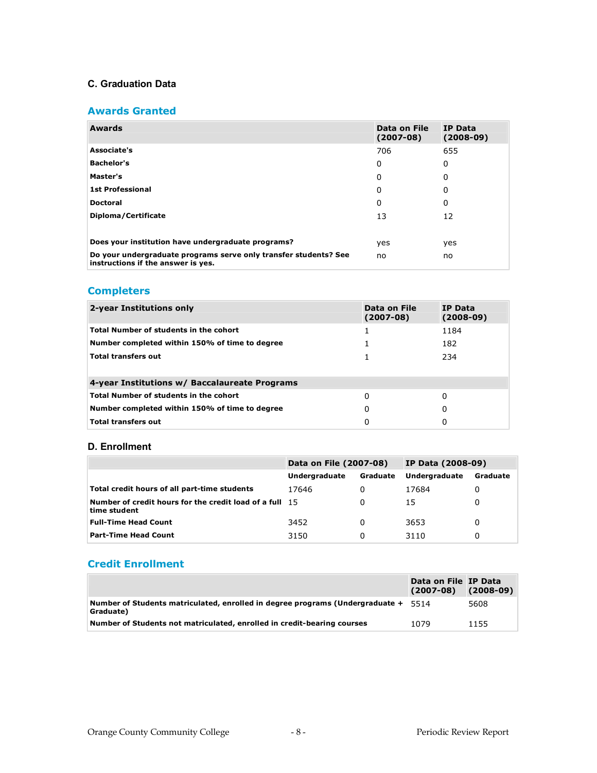#### **C. Graduation Data**

#### **Awards Granted**

| Awards                                                                                                 | Data on File<br>$(2007-08)$ | <b>IP Data</b><br>$(2008-09)$ |
|--------------------------------------------------------------------------------------------------------|-----------------------------|-------------------------------|
| Associate's                                                                                            | 706                         | 655                           |
| <b>Bachelor's</b>                                                                                      | 0                           | 0                             |
| Master's                                                                                               | 0                           | 0                             |
| <b>1st Professional</b>                                                                                | 0                           | 0                             |
| <b>Doctoral</b>                                                                                        | 0                           | 0                             |
| Diploma/Certificate                                                                                    | 13                          | 12                            |
|                                                                                                        |                             |                               |
| Does your institution have undergraduate programs?                                                     | yes                         | yes                           |
| Do your undergraduate programs serve only transfer students? See<br>instructions if the answer is yes. | no                          | no                            |

## **Completers**

| 2-year Institutions only                       | Data on File<br>$(2007-08)$ | IP Data<br>$(2008-09)$ |
|------------------------------------------------|-----------------------------|------------------------|
| <b>Total Number of students in the cohort</b>  |                             | 1184                   |
| Number completed within 150% of time to degree |                             | 182                    |
| <b>Total transfers out</b>                     |                             | 234                    |
|                                                |                             |                        |
| 4-year Institutions w/ Baccalaureate Programs  |                             |                        |
| <b>Total Number of students in the cohort</b>  | 0                           | 0                      |
| Number completed within 150% of time to degree | 0                           | 0                      |
| <b>Total transfers out</b>                     | 0                           |                        |

#### **D. Enrollment**

|                                                                                | Data on File (2007-08)           |   | <b>IP Data (2008-09)</b> |          |
|--------------------------------------------------------------------------------|----------------------------------|---|--------------------------|----------|
|                                                                                | <b>Undergraduate</b><br>Graduate |   | <b>Undergraduate</b>     | Graduate |
| Total credit hours of all part-time students                                   | 17646                            | 0 | 17684                    |          |
| <b>Number of credit hours for the credit load of a full 15</b><br>time student |                                  | 0 | 15                       |          |
| <b>Full-Time Head Count</b>                                                    | 3452                             | 0 | 3653                     |          |
| <b>Part-Time Head Count</b>                                                    | 3150                             | 0 | 3110                     |          |

### **Credit Enrollment**

|                                                                                                 | Data on File IP Data<br>$(2007-08)$ | $(2008-09)$ |
|-------------------------------------------------------------------------------------------------|-------------------------------------|-------------|
| Number of Students matriculated, enrolled in degree programs (Undergraduate + 5514<br>Graduate) |                                     | 5608        |
| $\mid$ Number of Students not matriculated, enrolled in credit-bearing courses                  | 1079                                | 1155        |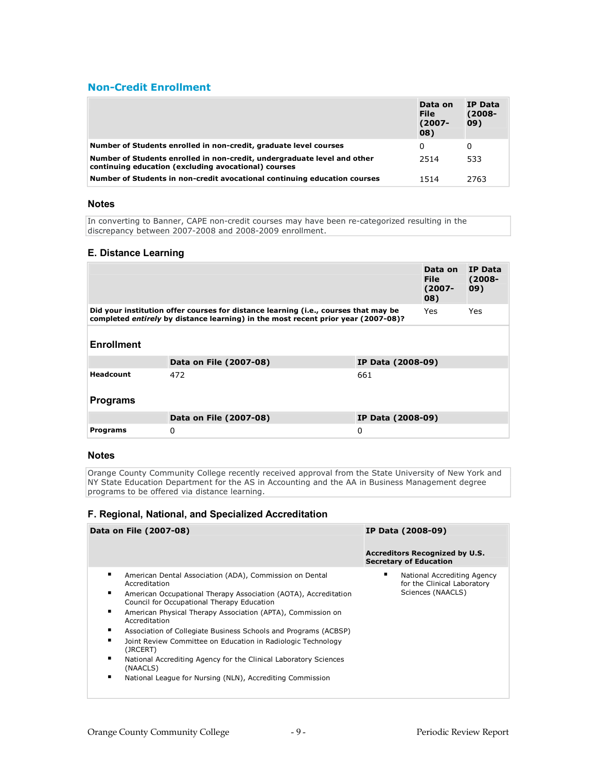### **Non-Credit Enrollment**

|                                                                                                                                  | Data on<br><b>File</b><br>(2007-<br>08) | <b>IP Data</b><br>$(2008 -$<br>09) |
|----------------------------------------------------------------------------------------------------------------------------------|-----------------------------------------|------------------------------------|
| Number of Students enrolled in non-credit, graduate level courses                                                                | 0                                       | 0                                  |
| Number of Students enrolled in non-credit, undergraduate level and other<br>continuing education (excluding avocational) courses | 2514                                    | 533                                |
| Number of Students in non-credit avocational continuing education courses                                                        | 1514                                    | 2763                               |

#### **Notes**

In converting to Banner, CAPE non-credit courses may have been re-categorized resulting in the discrepancy between 2007-2008 and 2008-2009 enrollment.

#### **E. Distance Learning**

|                   |                                                                                                                                                                          |                   | Data on<br><b>File</b><br>$(2007 -$<br>08) | <b>IP Data</b><br>$(2008 -$<br>09) |
|-------------------|--------------------------------------------------------------------------------------------------------------------------------------------------------------------------|-------------------|--------------------------------------------|------------------------------------|
|                   | Did your institution offer courses for distance learning (i.e., courses that may be<br>completed entirely by distance learning) in the most recent prior year (2007-08)? |                   | Yes.                                       | <b>Yes</b>                         |
| <b>Enrollment</b> |                                                                                                                                                                          |                   |                                            |                                    |
|                   | Data on File (2007-08)                                                                                                                                                   | IP Data (2008-09) |                                            |                                    |
| Headcount         | 472                                                                                                                                                                      | 661               |                                            |                                    |
| <b>Programs</b>   |                                                                                                                                                                          |                   |                                            |                                    |
|                   | Data on File (2007-08)                                                                                                                                                   | IP Data (2008-09) |                                            |                                    |
| <b>Programs</b>   | 0                                                                                                                                                                        | 0                 |                                            |                                    |

#### **Notes**

Orange County Community College recently received approval from the State University of New York and NY State Education Department for the AS in Accounting and the AA in Business Management degree programs to be offered via distance learning.

#### **F. Regional, National, and Specialized Accreditation**

| Data on File (2007-08)                                                                                             | IP Data (2008-09)                                                      |
|--------------------------------------------------------------------------------------------------------------------|------------------------------------------------------------------------|
|                                                                                                                    | <b>Accreditors Recognized by U.S.</b><br><b>Secretary of Education</b> |
| ٠<br>American Dental Association (ADA), Commission on Dental<br>Accreditation                                      | National Accrediting Agency<br>for the Clinical Laboratory             |
| ٠<br>American Occupational Therapy Association (AOTA), Accreditation<br>Council for Occupational Therapy Education | Sciences (NAACLS)                                                      |
| ٠<br>American Physical Therapy Association (APTA), Commission on<br>Accreditation                                  |                                                                        |
| ٠<br>Association of Collegiate Business Schools and Programs (ACBSP)                                               |                                                                        |
| Joint Review Committee on Education in Radiologic Technology<br>(JRCERT)                                           |                                                                        |
| ٠<br>National Accrediting Agency for the Clinical Laboratory Sciences<br>(NAACLS)                                  |                                                                        |
| п<br>National League for Nursing (NLN), Accrediting Commission                                                     |                                                                        |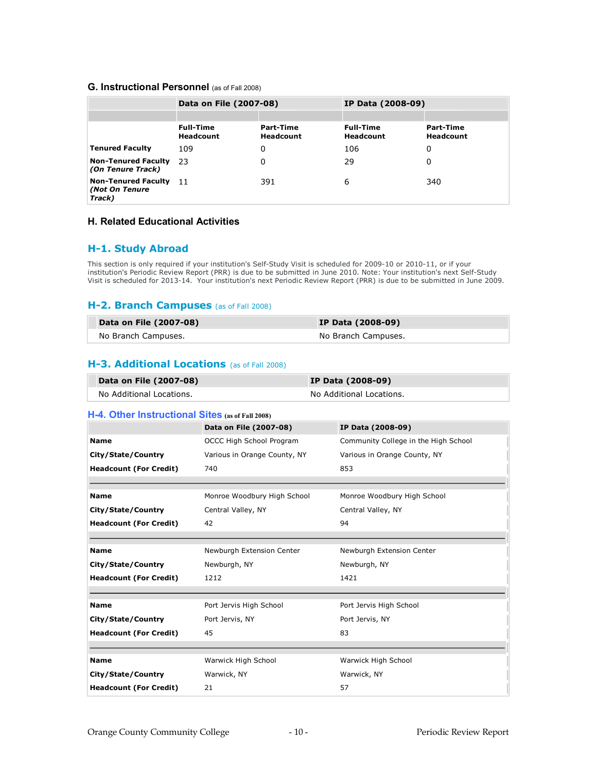#### **G. Instructional Personnel** (as of Fall 2008)

|                                                        | Data on File (2007-08)               |                               | IP Data (2008-09)                    |                               |  |
|--------------------------------------------------------|--------------------------------------|-------------------------------|--------------------------------------|-------------------------------|--|
|                                                        |                                      |                               |                                      |                               |  |
|                                                        | <b>Full-Time</b><br><b>Headcount</b> | Part-Time<br><b>Headcount</b> | <b>Full-Time</b><br><b>Headcount</b> | Part-Time<br><b>Headcount</b> |  |
| <b>Tenured Faculty</b>                                 | 109                                  | 0                             | 106                                  | 0                             |  |
| <b>Non-Tenured Faculty</b><br>(On Tenure Track)        | - 23                                 | 0                             | 29                                   | 0                             |  |
| <b>Non-Tenured Faculty</b><br>(Not On Tenure<br>Track) | 11                                   | 391                           | 6                                    | 340                           |  |

#### **H. Related Educational Activities**

#### **H1. Study Abroad**

This section is only required if your institution's Self-Study Visit is scheduled for 2009-10 or 2010-11, or if your institution's Periodic Review Report (PRR) is due to be submitted in June 2010. Note: Your institution's next Self-Study Visit is scheduled for 2013-14. Your institution's next Periodic Review Report (PRR) is due to be submitted in June 2009.

#### **H-2. Branch Campuses** (as of Fall 2008)

| Data on File (2007-08) | <b>IP Data (2008-09)</b> |
|------------------------|--------------------------|
| No Branch Campuses.    | No Branch Campuses.      |

#### **H-3. Additional Locations** (as of Fall 2008)

| Data on File (2007-08)   | <b>IP Data (2008-09)</b> |
|--------------------------|--------------------------|
| No Additional Locations. | No Additional Locations. |

#### **H4. Other Instructional Sites (as of Fall 2008)**

|                               | Data on File (2007-08)       | IP Data (2008-09)                    |
|-------------------------------|------------------------------|--------------------------------------|
| <b>Name</b>                   | OCCC High School Program     | Community College in the High School |
| City/State/Country            | Various in Orange County, NY | Various in Orange County, NY         |
| <b>Headcount (For Credit)</b> | 740                          | 853                                  |
|                               |                              |                                      |
| <b>Name</b>                   | Monroe Woodbury High School  | Monroe Woodbury High School          |
| City/State/Country            | Central Valley, NY           | Central Valley, NY                   |
| <b>Headcount (For Credit)</b> | 42                           | 94                                   |
|                               |                              |                                      |
| <b>Name</b>                   | Newburgh Extension Center    | Newburgh Extension Center            |
| City/State/Country            | Newburgh, NY                 | Newburgh, NY                         |
| <b>Headcount (For Credit)</b> | 1212                         | 1421                                 |
|                               |                              |                                      |
| <b>Name</b>                   | Port Jervis High School      | Port Jervis High School              |
| City/State/Country            | Port Jervis, NY              | Port Jervis, NY                      |
| <b>Headcount (For Credit)</b> | 45                           | 83                                   |
|                               |                              |                                      |
| <b>Name</b>                   | Warwick High School          | Warwick High School                  |
| City/State/Country            | Warwick, NY                  | Warwick, NY                          |
| <b>Headcount (For Credit)</b> | 21                           | 57                                   |